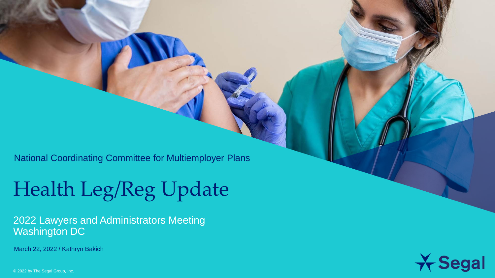National Coordinating Committee for Multiemployer Plans

### Health Leg/Reg Update

2022 Lawyers and Administrators Meeting Washington DC

March 22, 2022 / Kathryn Bakich



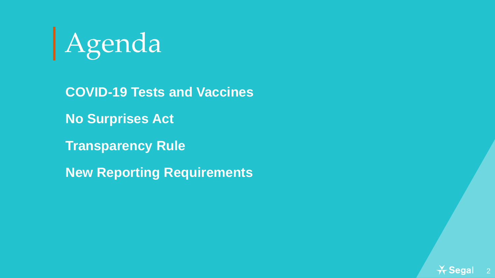

**COVID-19 Tests and Vaccines No Surprises Act Transparency Rule New Reporting Requirements**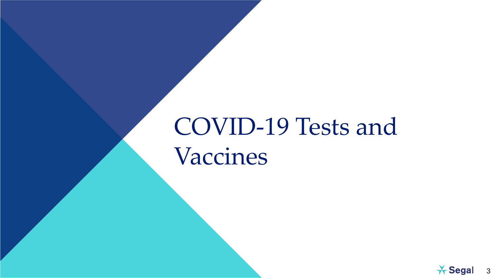## COVID-19 Tests and Vaccines

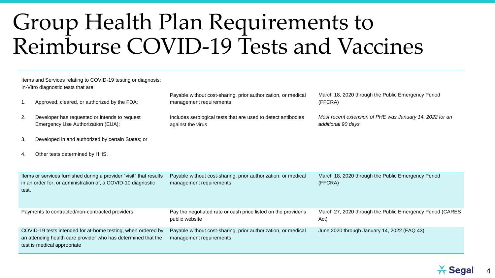### Group Health Plan Requirements to Reimburse COVID-19 Tests and Vaccines

| Items and Services relating to COVID-19 testing or diagnosis:<br>In-Vitro diagnostic tests that are                                                          |                                                                                     |                                                                                          |                                                                                |  |  |
|--------------------------------------------------------------------------------------------------------------------------------------------------------------|-------------------------------------------------------------------------------------|------------------------------------------------------------------------------------------|--------------------------------------------------------------------------------|--|--|
| 1.                                                                                                                                                           | Approved, cleared, or authorized by the FDA;                                        | Payable without cost-sharing, prior authorization, or medical<br>management requirements | March 18, 2020 through the Public Emergency Period<br>(FFCRA)                  |  |  |
| 2.                                                                                                                                                           | Developer has requested or intends to request<br>Emergency Use Authorization (EUA); | Includes serological tests that are used to detect antibodies<br>against the virus       | Most recent extension of PHE was January 14, 2022 for an<br>additional 90 days |  |  |
| 3.                                                                                                                                                           | Developed in and authorized by certain States; or                                   |                                                                                          |                                                                                |  |  |
| 4.                                                                                                                                                           | Other tests determined by HHS.                                                      |                                                                                          |                                                                                |  |  |
|                                                                                                                                                              |                                                                                     |                                                                                          |                                                                                |  |  |
| Items or services furnished during a provider "visit" that results<br>in an order for, or administration of, a COVID-10 diagnostic<br>test.                  |                                                                                     | Payable without cost-sharing, prior authorization, or medical<br>management requirements | March 18, 2020 through the Public Emergency Period<br>(FFCRA)                  |  |  |
| Payments to contracted/non-contracted providers                                                                                                              |                                                                                     | Pay the negotiated rate or cash price listed on the provider's<br>public website         | March 27, 2020 through the Public Emergency Period (CARES<br>Act)              |  |  |
| COVID-19 tests intended for at-home testing, when ordered by<br>an attending health care provider who has determined that the<br>test is medical appropriate |                                                                                     | Payable without cost-sharing, prior authorization, or medical<br>management requirements | June 2020 through January 14, 2022 (FAQ 43)                                    |  |  |

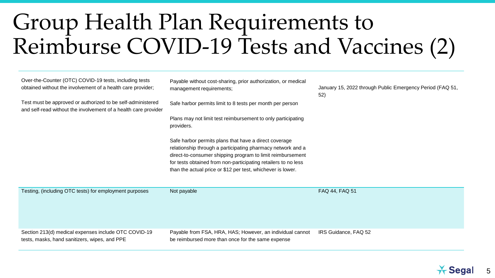### Group Health Plan Requirements to Reimburse COVID-19 Tests and Vaccines (2)

| Over-the-Counter (OTC) COVID-19 tests, including tests<br>obtained without the involvement of a health care provider;          | Payable without cost-sharing, prior authorization, or medical<br>management requirements;                                                                                                                                                                                                                           | January 15, 2022 through Public Emergency Period (FAQ 51,<br>52) |
|--------------------------------------------------------------------------------------------------------------------------------|---------------------------------------------------------------------------------------------------------------------------------------------------------------------------------------------------------------------------------------------------------------------------------------------------------------------|------------------------------------------------------------------|
| Test must be approved or authorized to be self-administered<br>and self-read without the involvement of a health care provider | Safe harbor permits limit to 8 tests per month per person                                                                                                                                                                                                                                                           |                                                                  |
|                                                                                                                                | Plans may not limit test reimbursement to only participating<br>providers.                                                                                                                                                                                                                                          |                                                                  |
|                                                                                                                                | Safe harbor permits plans that have a direct coverage<br>relationship through a participating pharmacy network and a<br>direct-to-consumer shipping program to limit reimbursement<br>for tests obtained from non-participating retailers to no less<br>than the actual price or \$12 per test, whichever is lower. |                                                                  |
| Testing, (including OTC tests) for employment purposes                                                                         | Not payable                                                                                                                                                                                                                                                                                                         | FAQ 44, FAQ 51                                                   |
| Section 213(d) medical expenses include OTC COVID-19<br>tests, masks, hand sanitizers, wipes, and PPE                          | Payable from FSA, HRA, HAS; However, an individual cannot<br>be reimbursed more than once for the same expense                                                                                                                                                                                                      | IRS Guidance, FAQ 52                                             |

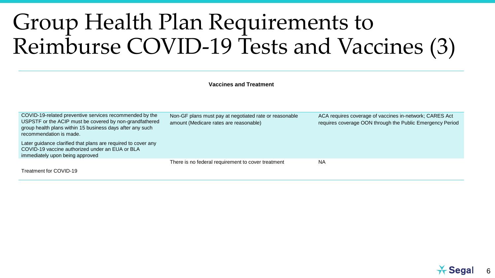### Group Health Plan Requirements to Reimburse COVID-19 Tests and Vaccines (3)

**Vaccines and Treatment**

| COVID-19-related preventive services recommended by the<br>USPSTF or the ACIP must be covered by non-grandfathered<br>group health plans within 15 business days after any such<br>recommendation is made. | Non-GF plans must pay at negotiated rate or reasonable<br>amount (Medicare rates are reasonable) | ACA requires coverage of vaccines in-network; CARES Act<br>requires coverage OON through the Public Emergency Period |
|------------------------------------------------------------------------------------------------------------------------------------------------------------------------------------------------------------|--------------------------------------------------------------------------------------------------|----------------------------------------------------------------------------------------------------------------------|
| Later guidance clarified that plans are required to cover any<br>COVID-19 vaccine authorized under an EUA or BLA<br>immediately upon being approved                                                        |                                                                                                  |                                                                                                                      |
|                                                                                                                                                                                                            | There is no federal requirement to cover treatment                                               | <b>NA</b>                                                                                                            |
| Treatment for COVID-19                                                                                                                                                                                     |                                                                                                  |                                                                                                                      |

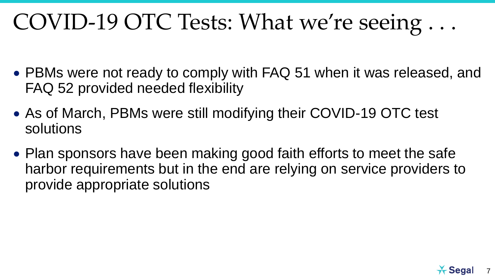## COVID-19 OTC Tests: What we're seeing . . .

- PBMs were not ready to comply with FAQ 51 when it was released, and FAQ 52 provided needed flexibility
- As of March, PBMs were still modifying their COVID-19 OTC test solutions
- Plan sponsors have been making good faith efforts to meet the safe harbor requirements but in the end are relying on service providers to provide appropriate solutions

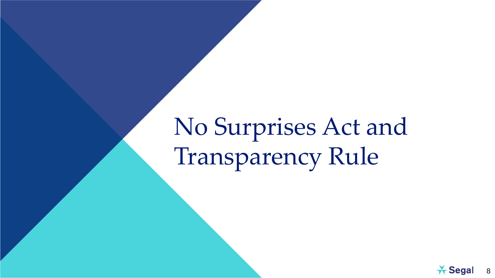# No Surprises Act and Transparency Rule

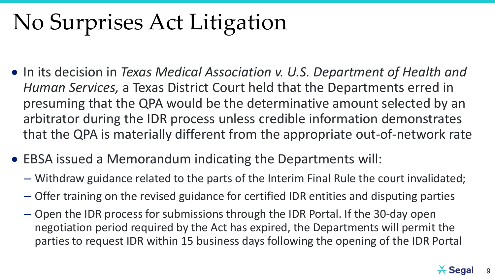## No Surprises Act Litigation

- In its decision in *Texas Medical Association v. U.S. Department of Health and Human Services,* a Texas District Court held that the Departments erred in presuming that the QPA would be the determinative amount selected by an arbitrator during the IDR process unless credible information demonstrates that the QPA is materially different from the appropriate out-of-network rate
- EBSA issued a Memorandum indicating the Departments will:
	- Withdraw guidance related to the parts of the Interim Final Rule the court invalidated;
	- Offer training on the revised guidance for certified IDR entities and disputing parties
	- Open the IDR process for submissions through the IDR Portal. If the 30-day open negotiation period required by the Act has expired, the Departments will permit the parties to request IDR within 15 business days following the opening of the IDR Portal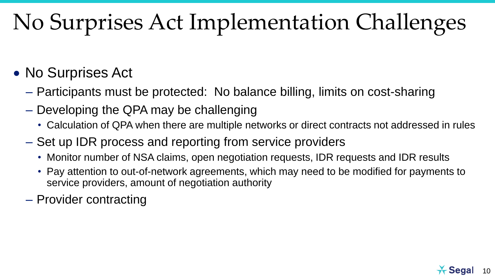## No Surprises Act Implementation Challenges

#### • No Surprises Act

- Participants must be protected: No balance billing, limits on cost-sharing
- Developing the QPA may be challenging
	- Calculation of QPA when there are multiple networks or direct contracts not addressed in rules
- Set up IDR process and reporting from service providers
	- Monitor number of NSA claims, open negotiation requests, IDR requests and IDR results
	- Pay attention to out-of-network agreements, which may need to be modified for payments to service providers, amount of negotiation authority
- Provider contracting

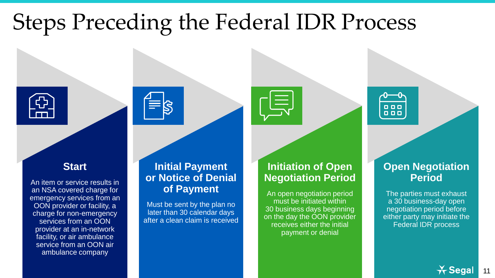## Steps Preceding the Federal IDR Process









An item or service results in an NSA covered charge for emergency services from an OON provider or facility, a charge for non-emergency services from an OON provider at an in-network facility, or air ambulance service from an OON air ambulance company

#### **Initial Payment or Notice of Denial of Payment**

Must be sent by the plan no later than 30 calendar days after a clean claim is received



"闫

An open negotiation period must be initiated within 30 business days beginning on the day the OON provider receives either the initial payment or denial



#### **Open Negotiation Period**

The parties must exhaust a 30 business-day open negotiation period before either party may initiate the Federal IDR process

> $\star$  Segal 11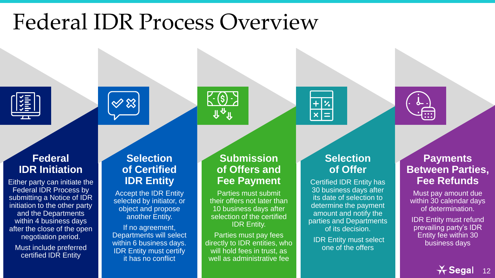### Federal IDR Process Overview











#### **Federal IDR Initiation**

Either party can initiate the Federal IDR Process by submitting a Notice of IDR initiation to the other party and the Departments within 4 business days after the close of the open negotiation period.

Must include preferred certified IDR Entity

#### **Selection of Certified IDR Entity**

Accept the IDR Entity selected by initiator, or object and propose another Entity.

If no agreement, Departments will select within 6 business days. IDR Entity must certify it has no conflict

#### **Submission of Offers and Fee Payment**

Parties must submit their offers not later than 10 business days after selection of the certified IDR Entity.

Parties must pay fees directly to IDR entities, who will hold fees in trust, as well as administrative fee

#### **Selection of Offer**

Certified IDR Entity has 30 business days after its date of selection to determine the payment amount and notify the parties and Departments of its decision.

IDR Entity must select one of the offers

#### **Payments Between Parties, Fee Refunds**

Must pay amount due within 30 calendar days of determination.

IDR Entity must refund prevailing party's IDR Entity fee within 30 business days

> $\star$  Segal 12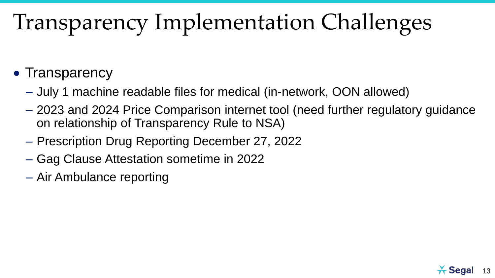## Transparency Implementation Challenges

- Transparency
	- July 1 machine readable files for medical (in-network, OON allowed)
	- 2023 and 2024 Price Comparison internet tool (need further regulatory guidance on relationship of Transparency Rule to NSA)
	- Prescription Drug Reporting December 27, 2022
	- Gag Clause Attestation sometime in 2022
	- Air Ambulance reporting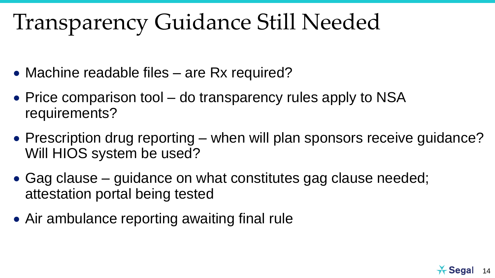### Transparency Guidance Still Needed

- Machine readable files are Rx required?
- Price comparison tool do transparency rules apply to NSA requirements?
- Prescription drug reporting when will plan sponsors receive guidance? Will HIOS system be used?
- Gag clause guidance on what constitutes gag clause needed; attestation portal being tested
- Air ambulance reporting awaiting final rule

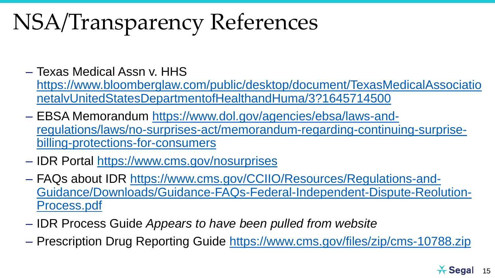## NSA/Transparency References

- Texas Medical Assn v. HHS [https://www.bloomberglaw.com/public/desktop/document/TexasMedicalAssociatio](https://www.bloomberglaw.com/public/desktop/document/TexasMedicalAssociationetalvUnitedStatesDepartmentofHealthandHuma/3?1645714500) netalvUnitedStatesDepartmentofHealthandHuma/3?1645714500
- EBSA Memorandum https://www.dol.gov/agencies/ebsa/laws-and[regulations/laws/no-surprises-act/memorandum-regarding-continuing-surprise](https://www.dol.gov/agencies/ebsa/laws-and-regulations/laws/no-surprises-act/memorandum-regarding-continuing-surprise-billing-protections-for-consumers)billing-protections-for-consumers
- IDR Portal<https://www.cms.gov/nosurprises>
- FAQs about IDR https://www.cms.gov/CCIIO/Resources/Regulations-and-[Guidance/Downloads/Guidance-FAQs-Federal-Independent-Dispute-Reolution-](https://www.cms.gov/CCIIO/Resources/Regulations-and-Guidance/Downloads/Guidance-FAQs-Federal-Independent-Dispute-Reolution-Process.pdf)Process.pdf
- IDR Process Guide *Appears to have been pulled from website*
- Prescription Drug Reporting Guide <https://www.cms.gov/files/zip/cms-10788.zip>